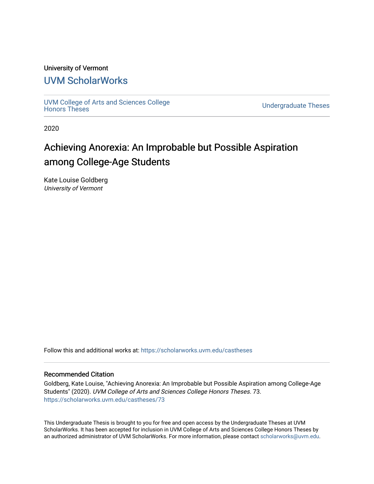## University of Vermont

# [UVM ScholarWorks](https://scholarworks.uvm.edu/)

[UVM College of Arts and Sciences College](https://scholarworks.uvm.edu/castheses)

**Undergraduate Theses** 

2020

# Achieving Anorexia: An Improbable but Possible Aspiration among College-Age Students

Kate Louise Goldberg University of Vermont

Follow this and additional works at: [https://scholarworks.uvm.edu/castheses](https://scholarworks.uvm.edu/castheses?utm_source=scholarworks.uvm.edu%2Fcastheses%2F73&utm_medium=PDF&utm_campaign=PDFCoverPages)

## Recommended Citation

Goldberg, Kate Louise, "Achieving Anorexia: An Improbable but Possible Aspiration among College-Age Students" (2020). UVM College of Arts and Sciences College Honors Theses. 73. [https://scholarworks.uvm.edu/castheses/73](https://scholarworks.uvm.edu/castheses/73?utm_source=scholarworks.uvm.edu%2Fcastheses%2F73&utm_medium=PDF&utm_campaign=PDFCoverPages) 

This Undergraduate Thesis is brought to you for free and open access by the Undergraduate Theses at UVM ScholarWorks. It has been accepted for inclusion in UVM College of Arts and Sciences College Honors Theses by an authorized administrator of UVM ScholarWorks. For more information, please contact [scholarworks@uvm.edu.](mailto:scholarworks@uvm.edu)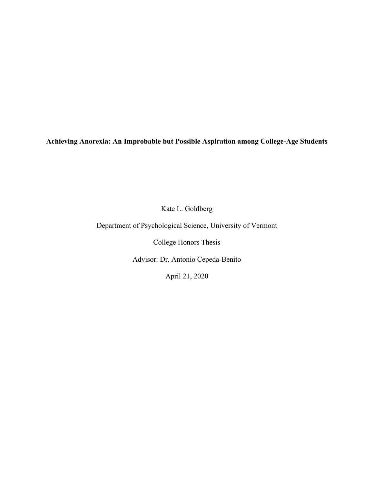**Achieving Anorexia: An Improbable but Possible Aspiration among College-Age Students**

Kate L. Goldberg

Department of Psychological Science, University of Vermont

College Honors Thesis

Advisor: Dr. Antonio Cepeda-Benito

April 21, 2020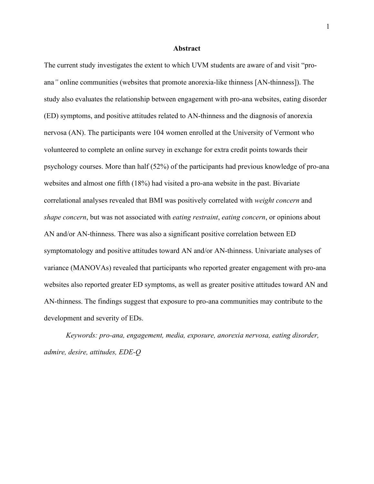#### **Abstract**

The current study investigates the extent to which UVM students are aware of and visit "proana*"* online communities (websites that promote anorexia-like thinness [AN-thinness]). The study also evaluates the relationship between engagement with pro-ana websites, eating disorder (ED) symptoms, and positive attitudes related to AN-thinness and the diagnosis of anorexia nervosa (AN). The participants were 104 women enrolled at the University of Vermont who volunteered to complete an online survey in exchange for extra credit points towards their psychology courses. More than half (52%) of the participants had previous knowledge of pro-ana websites and almost one fifth (18%) had visited a pro-ana website in the past. Bivariate correlational analyses revealed that BMI was positively correlated with *weight concern* and *shape concern*, but was not associated with *eating restraint*, *eating concern*, or opinions about AN and/or AN-thinness. There was also a significant positive correlation between ED symptomatology and positive attitudes toward AN and/or AN-thinness. Univariate analyses of variance (MANOVAs) revealed that participants who reported greater engagement with pro-ana websites also reported greater ED symptoms, as well as greater positive attitudes toward AN and AN-thinness. The findings suggest that exposure to pro-ana communities may contribute to the development and severity of EDs.

*Keywords: pro-ana, engagement, media, exposure, anorexia nervosa, eating disorder, admire, desire, attitudes, EDE-Q*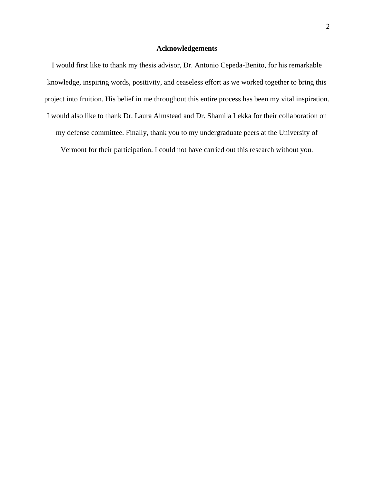## **Acknowledgements**

I would first like to thank my thesis advisor, Dr. Antonio Cepeda-Benito, for his remarkable knowledge, inspiring words, positivity, and ceaseless effort as we worked together to bring this project into fruition. His belief in me throughout this entire process has been my vital inspiration. I would also like to thank Dr. Laura Almstead and Dr. Shamila Lekka for their collaboration on my defense committee. Finally, thank you to my undergraduate peers at the University of Vermont for their participation. I could not have carried out this research without you.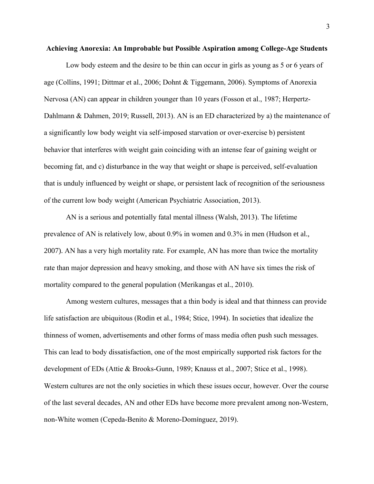#### **Achieving Anorexia: An Improbable but Possible Aspiration among College-Age Students**

Low body esteem and the desire to be thin can occur in girls as young as 5 or 6 years of age (Collins, 1991; Dittmar et al., 2006; Dohnt & Tiggemann, 2006). Symptoms of Anorexia Nervosa (AN) can appear in children younger than 10 years (Fosson et al., 1987; Herpertz-Dahlmann & Dahmen, 2019; Russell, 2013). AN is an ED characterized by a) the maintenance of a significantly low body weight via self-imposed starvation or over-exercise b) persistent behavior that interferes with weight gain coinciding with an intense fear of gaining weight or becoming fat, and c) disturbance in the way that weight or shape is perceived, self-evaluation that is unduly influenced by weight or shape, or persistent lack of recognition of the seriousness of the current low body weight (American Psychiatric Association, 2013).

AN is a serious and potentially fatal mental illness (Walsh, 2013). The lifetime prevalence of AN is relatively low, about 0.9% in women and 0.3% in men (Hudson et al., 2007). AN has a very high mortality rate. For example, AN has more than twice the mortality rate than major depression and heavy smoking, and those with AN have six times the risk of mortality compared to the general population (Merikangas et al., 2010).

Among western cultures, messages that a thin body is ideal and that thinness can provide life satisfaction are ubiquitous (Rodin et al., 1984; Stice, 1994). In societies that idealize the thinness of women, advertisements and other forms of mass media often push such messages. This can lead to body dissatisfaction, one of the most empirically supported risk factors for the development of EDs (Attie & Brooks-Gunn, 1989; Knauss et al., 2007; Stice et al., 1998). Western cultures are not the only societies in which these issues occur, however. Over the course of the last several decades, AN and other EDs have become more prevalent among non-Western, non-White women (Cepeda-Benito & Moreno-Domínguez, 2019).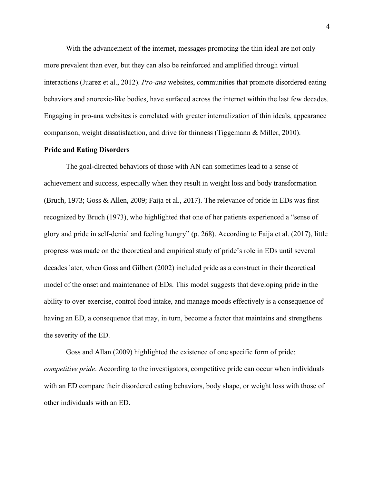With the advancement of the internet, messages promoting the thin ideal are not only more prevalent than ever, but they can also be reinforced and amplified through virtual interactions (Juarez et al., 2012). *Pro-ana* websites, communities that promote disordered eating behaviors and anorexic-like bodies, have surfaced across the internet within the last few decades. Engaging in pro-ana websites is correlated with greater internalization of thin ideals, appearance comparison, weight dissatisfaction, and drive for thinness (Tiggemann & Miller, 2010).

#### **Pride and Eating Disorders**

The goal-directed behaviors of those with AN can sometimes lead to a sense of achievement and success, especially when they result in weight loss and body transformation (Bruch, 1973; Goss & Allen, 2009; Faija et al., 2017). The relevance of pride in EDs was first recognized by Bruch (1973), who highlighted that one of her patients experienced a "sense of glory and pride in self-denial and feeling hungry" (p. 268). According to Faija et al. (2017), little progress was made on the theoretical and empirical study of pride's role in EDs until several decades later, when Goss and Gilbert (2002) included pride as a construct in their theoretical model of the onset and maintenance of EDs. This model suggests that developing pride in the ability to over-exercise, control food intake, and manage moods effectively is a consequence of having an ED, a consequence that may, in turn, become a factor that maintains and strengthens the severity of the ED.

Goss and Allan (2009) highlighted the existence of one specific form of pride: *competitive pride*. According to the investigators, competitive pride can occur when individuals with an ED compare their disordered eating behaviors, body shape, or weight loss with those of other individuals with an ED.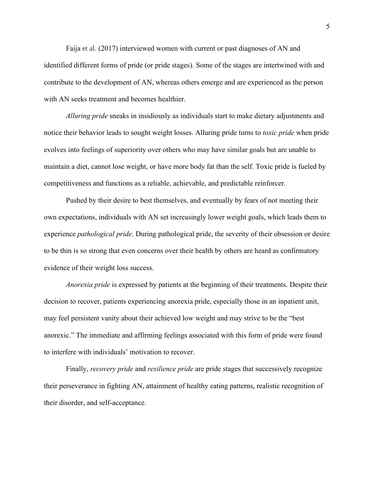Faija et al. (2017) interviewed women with current or past diagnoses of AN and identified different forms of pride (or pride stages). Some of the stages are intertwined with and contribute to the development of AN, whereas others emerge and are experienced as the person with AN seeks treatment and becomes healthier.

*Alluring pride* sneaks in insidiously as individuals start to make dietary adjustments and notice their behavior leads to sought weight losses. Alluring pride turns to *toxic pride* when pride evolves into feelings of superiority over others who may have similar goals but are unable to maintain a diet, cannot lose weight, or have more body fat than the self. Toxic pride is fueled by competitiveness and functions as a reliable, achievable, and predictable reinforcer.

Pushed by their desire to best themselves, and eventually by fears of not meeting their own expectations, individuals with AN set increasingly lower weight goals, which leads them to experience *pathological pride*. During pathological pride, the severity of their obsession or desire to be thin is so strong that even concerns over their health by others are heard as confirmatory evidence of their weight loss success.

*Anorexia pride* is expressed by patients at the beginning of their treatments. Despite their decision to recover, patients experiencing anorexia pride, especially those in an inpatient unit, may feel persistent vanity about their achieved low weight and may strive to be the "best anorexic." The immediate and affirming feelings associated with this form of pride were found to interfere with individuals' motivation to recover.

Finally, *recovery pride* and *resilience pride* are pride stages that successively recognize their perseverance in fighting AN, attainment of healthy eating patterns, realistic recognition of their disorder, and self-acceptance.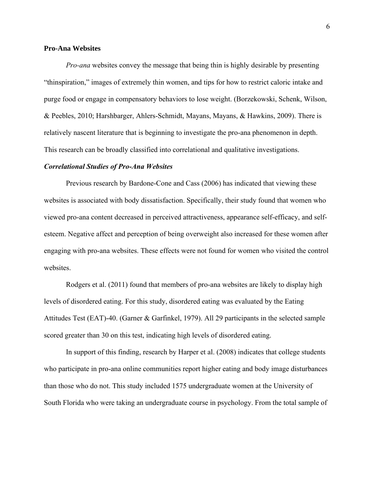## **Pro-Ana Websites**

*Pro-ana* websites convey the message that being thin is highly desirable by presenting "thinspiration," images of extremely thin women, and tips for how to restrict caloric intake and purge food or engage in compensatory behaviors to lose weight. (Borzekowski, Schenk, Wilson, & Peebles, 2010; Harshbarger, Ahlers-Schmidt, Mayans, Mayans, & Hawkins, 2009). There is relatively nascent literature that is beginning to investigate the pro-ana phenomenon in depth. This research can be broadly classified into correlational and qualitative investigations.

#### *Correlational Studies of Pro-Ana Websites*

Previous research by Bardone-Cone and Cass (2006) has indicated that viewing these websites is associated with body dissatisfaction. Specifically, their study found that women who viewed pro-ana content decreased in perceived attractiveness, appearance self-efficacy, and selfesteem. Negative affect and perception of being overweight also increased for these women after engaging with pro-ana websites. These effects were not found for women who visited the control websites.

Rodgers et al. (2011) found that members of pro-ana websites are likely to display high levels of disordered eating. For this study, disordered eating was evaluated by the Eating Attitudes Test (EAT)-40. (Garner & Garfinkel, 1979). All 29 participants in the selected sample scored greater than 30 on this test, indicating high levels of disordered eating.

In support of this finding, research by Harper et al. (2008) indicates that college students who participate in pro-ana online communities report higher eating and body image disturbances than those who do not. This study included 1575 undergraduate women at the University of South Florida who were taking an undergraduate course in psychology. From the total sample of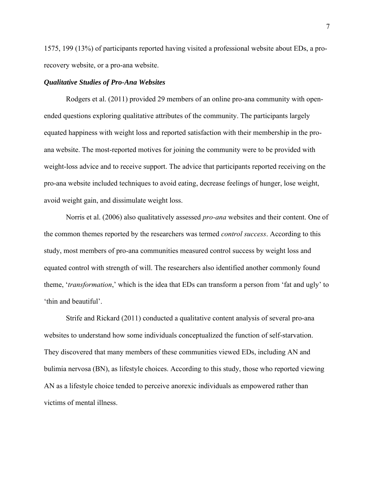1575, 199 (13%) of participants reported having visited a professional website about EDs, a prorecovery website, or a pro-ana website.

#### *Qualitative Studies of Pro-Ana Websites*

Rodgers et al. (2011) provided 29 members of an online pro-ana community with openended questions exploring qualitative attributes of the community. The participants largely equated happiness with weight loss and reported satisfaction with their membership in the proana website. The most-reported motives for joining the community were to be provided with weight-loss advice and to receive support. The advice that participants reported receiving on the pro-ana website included techniques to avoid eating, decrease feelings of hunger, lose weight, avoid weight gain, and dissimulate weight loss.

Norris et al. (2006) also qualitatively assessed *pro-ana* websites and their content. One of the common themes reported by the researchers was termed *control success*. According to this study, most members of pro-ana communities measured control success by weight loss and equated control with strength of will. The researchers also identified another commonly found theme, '*transformation*,' which is the idea that EDs can transform a person from 'fat and ugly' to 'thin and beautiful'.

Strife and Rickard (2011) conducted a qualitative content analysis of several pro-ana websites to understand how some individuals conceptualized the function of self-starvation. They discovered that many members of these communities viewed EDs, including AN and bulimia nervosa (BN), as lifestyle choices. According to this study, those who reported viewing AN as a lifestyle choice tended to perceive anorexic individuals as empowered rather than victims of mental illness.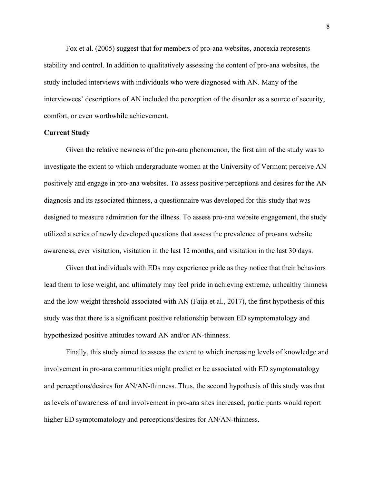Fox et al. (2005) suggest that for members of pro-ana websites, anorexia represents stability and control. In addition to qualitatively assessing the content of pro-ana websites, the study included interviews with individuals who were diagnosed with AN. Many of the interviewees' descriptions of AN included the perception of the disorder as a source of security, comfort, or even worthwhile achievement.

## **Current Study**

Given the relative newness of the pro-ana phenomenon, the first aim of the study was to investigate the extent to which undergraduate women at the University of Vermont perceive AN positively and engage in pro-ana websites. To assess positive perceptions and desires for the AN diagnosis and its associated thinness, a questionnaire was developed for this study that was designed to measure admiration for the illness. To assess pro-ana website engagement, the study utilized a series of newly developed questions that assess the prevalence of pro-ana website awareness, ever visitation, visitation in the last 12 months, and visitation in the last 30 days.

Given that individuals with EDs may experience pride as they notice that their behaviors lead them to lose weight, and ultimately may feel pride in achieving extreme, unhealthy thinness and the low-weight threshold associated with AN (Faija et al., 2017), the first hypothesis of this study was that there is a significant positive relationship between ED symptomatology and hypothesized positive attitudes toward AN and/or AN-thinness.

Finally, this study aimed to assess the extent to which increasing levels of knowledge and involvement in pro-ana communities might predict or be associated with ED symptomatology and perceptions/desires for AN/AN-thinness. Thus, the second hypothesis of this study was that as levels of awareness of and involvement in pro-ana sites increased, participants would report higher ED symptomatology and perceptions/desires for AN/AN-thinness.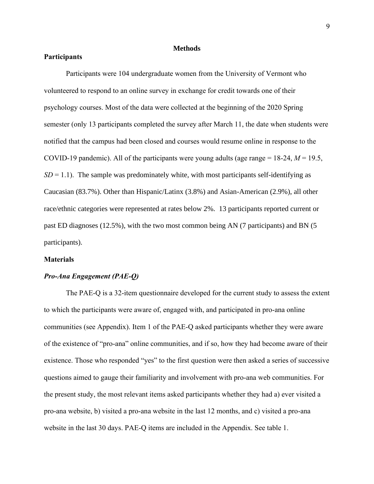#### **Methods**

## **Participants**

Participants were 104 undergraduate women from the University of Vermont who volunteered to respond to an online survey in exchange for credit towards one of their psychology courses. Most of the data were collected at the beginning of the 2020 Spring semester (only 13 participants completed the survey after March 11, the date when students were notified that the campus had been closed and courses would resume online in response to the COVID-19 pandemic). All of the participants were young adults (age range = 18-24, *M* = 19.5,  $SD = 1.1$ ). The sample was predominately white, with most participants self-identifying as Caucasian (83.7%). Other than Hispanic/Latinx (3.8%) and Asian-American (2.9%), all other race/ethnic categories were represented at rates below 2%. 13 participants reported current or past ED diagnoses (12.5%), with the two most common being AN (7 participants) and BN (5 participants).

## **Materials**

## *Pro-Ana Engagement (PAE-Q)*

The PAE-Q is a 32-item questionnaire developed for the current study to assess the extent to which the participants were aware of, engaged with, and participated in pro-ana online communities (see Appendix). Item 1 of the PAE-Q asked participants whether they were aware of the existence of "pro-ana" online communities, and if so, how they had become aware of their existence. Those who responded "yes" to the first question were then asked a series of successive questions aimed to gauge their familiarity and involvement with pro-ana web communities. For the present study, the most relevant items asked participants whether they had a) ever visited a pro-ana website, b) visited a pro-ana website in the last 12 months, and c) visited a pro-ana website in the last 30 days. PAE-Q items are included in the Appendix. See table 1.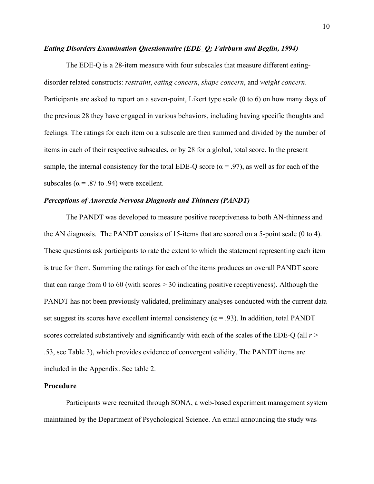## *Eating Disorders Examination Questionnaire (EDE\_Q; Fairburn and Beglin, 1994)*

The EDE-Q is a 28-item measure with four subscales that measure different eatingdisorder related constructs: *restraint*, *eating concern*, *shape concern*, and *weight concern*. Participants are asked to report on a seven-point, Likert type scale (0 to 6) on how many days of the previous 28 they have engaged in various behaviors, including having specific thoughts and feelings. The ratings for each item on a subscale are then summed and divided by the number of items in each of their respective subscales, or by 28 for a global, total score. In the present sample, the internal consistency for the total EDE-Q score ( $\alpha$  = .97), as well as for each of the subscales ( $\alpha$  = .87 to .94) were excellent.

## *Perceptions of Anorexia Nervosa Diagnosis and Thinness (PANDT)*

The PANDT was developed to measure positive receptiveness to both AN-thinness and the AN diagnosis. The PANDT consists of 15-items that are scored on a 5-point scale (0 to 4). These questions ask participants to rate the extent to which the statement representing each item is true for them. Summing the ratings for each of the items produces an overall PANDT score that can range from 0 to 60 (with scores  $> 30$  indicating positive receptiveness). Although the PANDT has not been previously validated, preliminary analyses conducted with the current data set suggest its scores have excellent internal consistency ( $\alpha$  = .93). In addition, total PANDT scores correlated substantively and significantly with each of the scales of the EDE-Q (all *r >*  .53, see Table 3), which provides evidence of convergent validity. The PANDT items are included in the Appendix. See table 2.

## **Procedure**

Participants were recruited through SONA, a web-based experiment management system maintained by the Department of Psychological Science. An email announcing the study was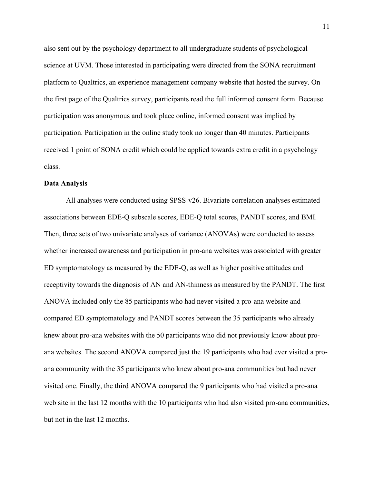also sent out by the psychology department to all undergraduate students of psychological science at UVM. Those interested in participating were directed from the SONA recruitment platform to Qualtrics, an experience management company website that hosted the survey. On the first page of the Qualtrics survey, participants read the full informed consent form. Because participation was anonymous and took place online, informed consent was implied by participation. Participation in the online study took no longer than 40 minutes. Participants received 1 point of SONA credit which could be applied towards extra credit in a psychology class.

#### **Data Analysis**

All analyses were conducted using SPSS-v26. Bivariate correlation analyses estimated associations between EDE-Q subscale scores, EDE-Q total scores, PANDT scores, and BMI. Then, three sets of two univariate analyses of variance (ANOVAs) were conducted to assess whether increased awareness and participation in pro-ana websites was associated with greater ED symptomatology as measured by the EDE-Q, as well as higher positive attitudes and receptivity towards the diagnosis of AN and AN-thinness as measured by the PANDT. The first ANOVA included only the 85 participants who had never visited a pro-ana website and compared ED symptomatology and PANDT scores between the 35 participants who already knew about pro-ana websites with the 50 participants who did not previously know about proana websites. The second ANOVA compared just the 19 participants who had ever visited a proana community with the 35 participants who knew about pro-ana communities but had never visited one. Finally, the third ANOVA compared the 9 participants who had visited a pro-ana web site in the last 12 months with the 10 participants who had also visited pro-ana communities, but not in the last 12 months.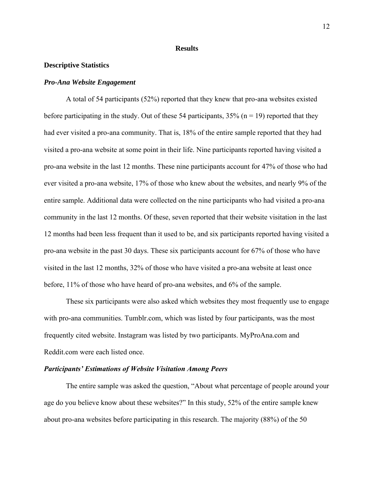#### **Results**

### **Descriptive Statistics**

#### *Pro-Ana Website Engagement*

A total of 54 participants (52%) reported that they knew that pro-ana websites existed before participating in the study. Out of these 54 participants,  $35\%$  (n = 19) reported that they had ever visited a pro-ana community. That is, 18% of the entire sample reported that they had visited a pro-ana website at some point in their life. Nine participants reported having visited a pro-ana website in the last 12 months. These nine participants account for 47% of those who had ever visited a pro-ana website, 17% of those who knew about the websites, and nearly 9% of the entire sample. Additional data were collected on the nine participants who had visited a pro-ana community in the last 12 months. Of these, seven reported that their website visitation in the last 12 months had been less frequent than it used to be, and six participants reported having visited a pro-ana website in the past 30 days. These six participants account for 67% of those who have visited in the last 12 months, 32% of those who have visited a pro-ana website at least once before, 11% of those who have heard of pro-ana websites, and 6% of the sample.

These six participants were also asked which websites they most frequently use to engage with pro-ana communities. Tumblr.com, which was listed by four participants, was the most frequently cited website. Instagram was listed by two participants. MyProAna.com and Reddit.com were each listed once.

#### *Participants' Estimations of Website Visitation Among Peers*

The entire sample was asked the question, "About what percentage of people around your age do you believe know about these websites?" In this study, 52% of the entire sample knew about pro-ana websites before participating in this research. The majority (88%) of the 50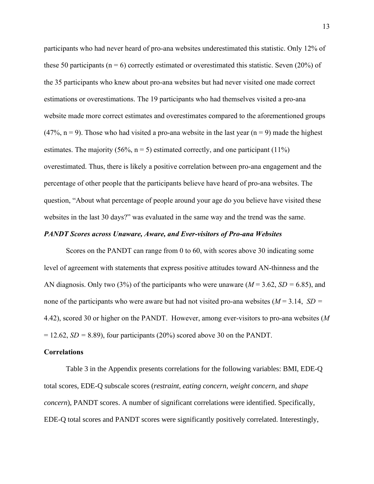participants who had never heard of pro-ana websites underestimated this statistic. Only 12% of these 50 participants ( $n = 6$ ) correctly estimated or overestimated this statistic. Seven (20%) of the 35 participants who knew about pro-ana websites but had never visited one made correct estimations or overestimations. The 19 participants who had themselves visited a pro-ana website made more correct estimates and overestimates compared to the aforementioned groups  $(47\%, n=9)$ . Those who had visited a pro-ana website in the last year  $(n=9)$  made the highest estimates. The majority (56%,  $n = 5$ ) estimated correctly, and one participant (11%) overestimated. Thus, there is likely a positive correlation between pro-ana engagement and the percentage of other people that the participants believe have heard of pro-ana websites. The question, "About what percentage of people around your age do you believe have visited these websites in the last 30 days?" was evaluated in the same way and the trend was the same.

#### *PANDT Scores across Unaware, Aware, and Ever-visitors of Pro-ana Websites*

Scores on the PANDT can range from 0 to 60, with scores above 30 indicating some level of agreement with statements that express positive attitudes toward AN-thinness and the AN diagnosis. Only two (3%) of the participants who were unaware (*M* = 3.62, *SD =* 6.85), and none of the participants who were aware but had not visited pro-ana websites (*M* = 3.14, *SD =*  4.42), scored 30 or higher on the PANDT. However, among ever-visitors to pro-ana websites (*M*  $= 12.62$ , *SD* = 8.89), four participants (20%) scored above 30 on the PANDT.

#### **Correlations**

Table 3 in the Appendix presents correlations for the following variables: BMI, EDE-Q total scores, EDE-Q subscale scores (*restraint*, *eating concern*, *weight concern*, and *shape concern*), PANDT scores. A number of significant correlations were identified. Specifically, EDE-Q total scores and PANDT scores were significantly positively correlated. Interestingly,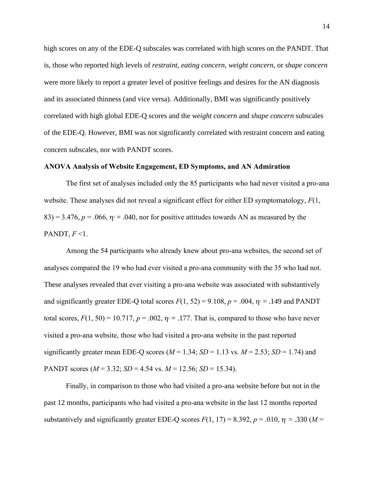high scores on any of the EDE-Q subscales was correlated with high scores on the PANDT. That is, those who reported high levels of *restraint*, *eating concern*, *weight concern*, or *shape concern* were more likely to report a greater level of positive feelings and desires for the AN diagnosis and its associated thinness (and vice versa). Additionally, BMI was significantly positively correlated with high global EDE-Q scores and the *weight concern* and *shape concern* subscales of the EDE-Q. However, BMI was not significantly correlated with restraint concern and eating concern subscales, nor with PANDT scores.

## **ANOVA Analysis of Website Engagement, ED Symptoms, and AN Admiration**

The first set of analyses included only the 85 participants who had never visited a pro-ana website. These analyses did not reveal a significant effect for either ED symptomatology, *F*(1,  $83$ ) = 3.476,  $p = .066$ ,  $p = .040$ , nor for positive attitudes towards AN as measured by the PANDT,  $F \leq 1$ .

Among the 54 participants who already knew about pro-ana websites, the second set of analyses compared the 19 who had ever visited a pro-ana community with the 35 who had not. These analyses revealed that ever visiting a pro-ana website was associated with substantively and significantly greater EDE-Q total scores  $F(1, 52) = 9.108$ ,  $p = .004$ ,  $p = .149$  and PANDT total scores,  $F(1, 50) = 10.717$ ,  $p = .002$ ,  $\eta = 0.177$ . That is, compared to those who have never visited a pro-ana website, those who had visited a pro-ana website in the past reported significantly greater mean EDE-Q scores ( $M = 1.34$ ;  $SD = 1.13$  vs.  $M = 2.53$ ;  $SD = 1.74$ ) and PANDT scores ( $M = 3.32$ ;  $SD = 4.54$  vs.  $M = 12.56$ ;  $SD = 15.34$ ).

Finally, in comparison to those who had visited a pro-ana website before but not in the past 12 months, participants who had visited a pro-ana website in the last 12 months reported substantively and significantly greater EDE-Q scores  $F(1, 17) = 8.392$ ,  $p = .010$ ,  $p = .330$  ( $M =$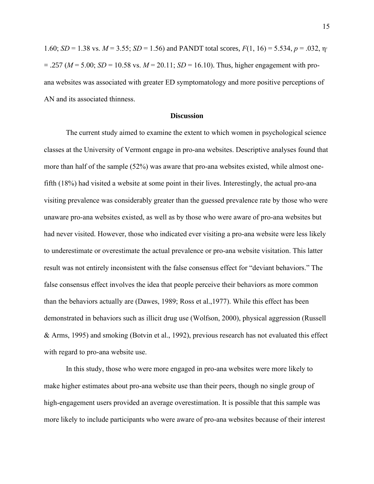1.60; *SD* = 1.38 vs. *M* = 3.55; *SD* = 1.56) and PANDT total scores,  $F(1, 16) = 5.534$ ,  $p = .032$ ,  $p = .032$  $= .257$  ( $M = 5.00$ ;  $SD = 10.58$  vs.  $M = 20.11$ ;  $SD = 16.10$ ). Thus, higher engagement with proana websites was associated with greater ED symptomatology and more positive perceptions of AN and its associated thinness.

#### **Discussion**

The current study aimed to examine the extent to which women in psychological science classes at the University of Vermont engage in pro-ana websites. Descriptive analyses found that more than half of the sample (52%) was aware that pro-ana websites existed, while almost onefifth (18%) had visited a website at some point in their lives. Interestingly, the actual pro-ana visiting prevalence was considerably greater than the guessed prevalence rate by those who were unaware pro-ana websites existed, as well as by those who were aware of pro-ana websites but had never visited. However, those who indicated ever visiting a pro-ana website were less likely to underestimate or overestimate the actual prevalence or pro-ana website visitation. This latter result was not entirely inconsistent with the false consensus effect for "deviant behaviors." The false consensus effect involves the idea that people perceive their behaviors as more common than the behaviors actually are (Dawes, 1989; Ross et al.,1977). While this effect has been demonstrated in behaviors such as illicit drug use (Wolfson, 2000), physical aggression (Russell & Arms, 1995) and smoking (Botvin et al., 1992), previous research has not evaluated this effect with regard to pro-ana website use.

In this study, those who were more engaged in pro-ana websites were more likely to make higher estimates about pro-ana website use than their peers, though no single group of high-engagement users provided an average overestimation. It is possible that this sample was more likely to include participants who were aware of pro-ana websites because of their interest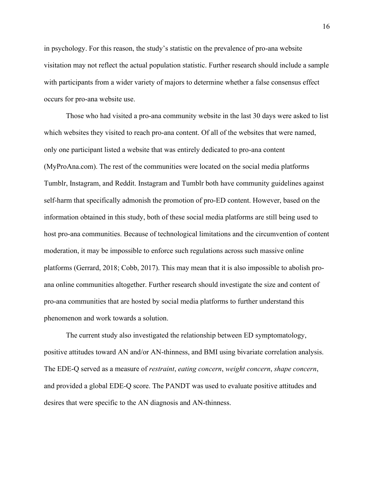in psychology. For this reason, the study's statistic on the prevalence of pro-ana website visitation may not reflect the actual population statistic. Further research should include a sample with participants from a wider variety of majors to determine whether a false consensus effect occurs for pro-ana website use.

Those who had visited a pro-ana community website in the last 30 days were asked to list which websites they visited to reach pro-ana content. Of all of the websites that were named, only one participant listed a website that was entirely dedicated to pro-ana content (MyProAna.com). The rest of the communities were located on the social media platforms Tumblr, Instagram, and Reddit. Instagram and Tumblr both have community guidelines against self-harm that specifically admonish the promotion of pro-ED content. However, based on the information obtained in this study, both of these social media platforms are still being used to host pro-ana communities. Because of technological limitations and the circumvention of content moderation, it may be impossible to enforce such regulations across such massive online platforms (Gerrard, 2018; Cobb, 2017). This may mean that it is also impossible to abolish proana online communities altogether. Further research should investigate the size and content of pro-ana communities that are hosted by social media platforms to further understand this phenomenon and work towards a solution.

The current study also investigated the relationship between ED symptomatology, positive attitudes toward AN and/or AN-thinness, and BMI using bivariate correlation analysis. The EDE-Q served as a measure of *restraint*, *eating concern*, *weight concern*, *shape concern*, and provided a global EDE-Q score. The PANDT was used to evaluate positive attitudes and desires that were specific to the AN diagnosis and AN-thinness.

16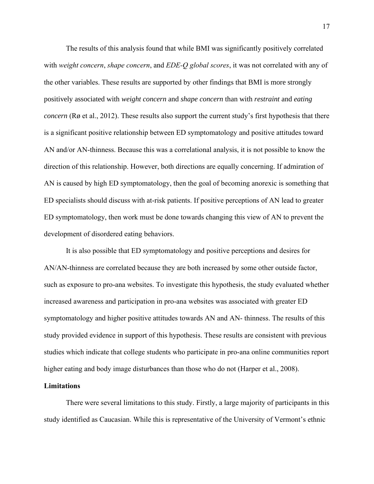The results of this analysis found that while BMI was significantly positively correlated with *weight concern*, *shape concern*, and *EDE-Q global scores*, it was not correlated with any of the other variables. These results are supported by other findings that BMI is more strongly positively associated with *weight concern* and *shape concern* than with *restraint* and *eating concern* (Rø et al., 2012). These results also support the current study's first hypothesis that there is a significant positive relationship between ED symptomatology and positive attitudes toward AN and/or AN-thinness. Because this was a correlational analysis, it is not possible to know the direction of this relationship. However, both directions are equally concerning. If admiration of AN is caused by high ED symptomatology, then the goal of becoming anorexic is something that ED specialists should discuss with at-risk patients. If positive perceptions of AN lead to greater ED symptomatology, then work must be done towards changing this view of AN to prevent the development of disordered eating behaviors.

It is also possible that ED symptomatology and positive perceptions and desires for AN/AN-thinness are correlated because they are both increased by some other outside factor, such as exposure to pro-ana websites. To investigate this hypothesis, the study evaluated whether increased awareness and participation in pro-ana websites was associated with greater ED symptomatology and higher positive attitudes towards AN and AN- thinness. The results of this study provided evidence in support of this hypothesis. These results are consistent with previous studies which indicate that college students who participate in pro-ana online communities report higher eating and body image disturbances than those who do not (Harper et al., 2008).

#### **Limitations**

There were several limitations to this study. Firstly, a large majority of participants in this study identified as Caucasian. While this is representative of the University of Vermont's ethnic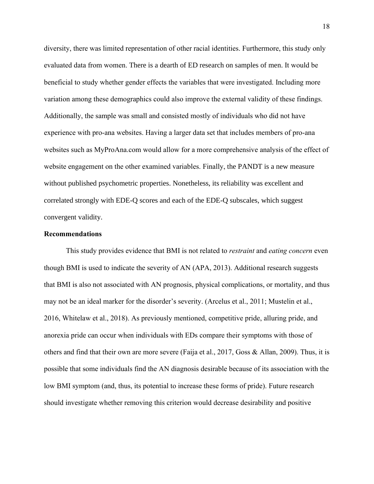diversity, there was limited representation of other racial identities. Furthermore, this study only evaluated data from women. There is a dearth of ED research on samples of men. It would be beneficial to study whether gender effects the variables that were investigated. Including more variation among these demographics could also improve the external validity of these findings. Additionally, the sample was small and consisted mostly of individuals who did not have experience with pro-ana websites. Having a larger data set that includes members of pro-ana websites such as MyProAna.com would allow for a more comprehensive analysis of the effect of website engagement on the other examined variables. Finally, the PANDT is a new measure without published psychometric properties. Nonetheless, its reliability was excellent and correlated strongly with EDE-Q scores and each of the EDE-Q subscales, which suggest convergent validity.

## **Recommendations**

This study provides evidence that BMI is not related to *restraint* and *eating concern* even though BMI is used to indicate the severity of AN (APA, 2013). Additional research suggests that BMI is also not associated with AN prognosis, physical complications, or mortality, and thus may not be an ideal marker for the disorder's severity. (Arcelus et al., 2011; Mustelin et al., 2016, Whitelaw et al., 2018). As previously mentioned, competitive pride, alluring pride, and anorexia pride can occur when individuals with EDs compare their symptoms with those of others and find that their own are more severe (Faija et al., 2017, Goss & Allan, 2009). Thus, it is possible that some individuals find the AN diagnosis desirable because of its association with the low BMI symptom (and, thus, its potential to increase these forms of pride). Future research should investigate whether removing this criterion would decrease desirability and positive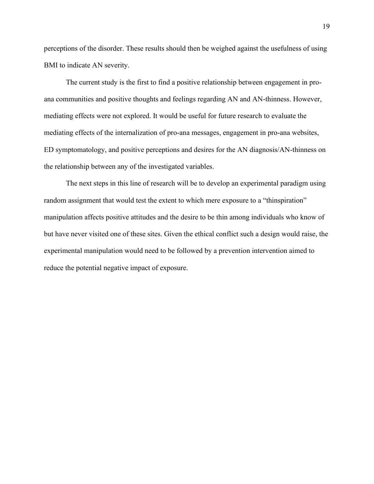perceptions of the disorder. These results should then be weighed against the usefulness of using BMI to indicate AN severity.

The current study is the first to find a positive relationship between engagement in proana communities and positive thoughts and feelings regarding AN and AN-thinness. However, mediating effects were not explored. It would be useful for future research to evaluate the mediating effects of the internalization of pro-ana messages, engagement in pro-ana websites, ED symptomatology, and positive perceptions and desires for the AN diagnosis/AN-thinness on the relationship between any of the investigated variables.

The next steps in this line of research will be to develop an experimental paradigm using random assignment that would test the extent to which mere exposure to a "thinspiration" manipulation affects positive attitudes and the desire to be thin among individuals who know of but have never visited one of these sites. Given the ethical conflict such a design would raise, the experimental manipulation would need to be followed by a prevention intervention aimed to reduce the potential negative impact of exposure.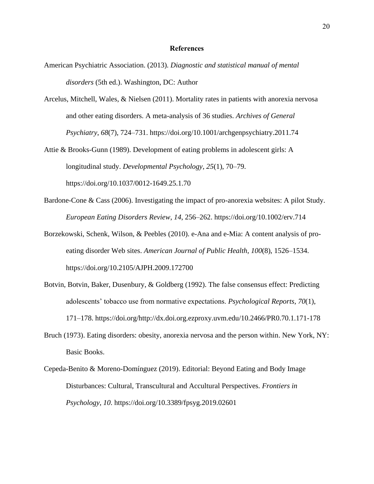#### **References**

- American Psychiatric Association. (2013). *Diagnostic and statistical manual of mental disorders* (5th ed.). Washington, DC: Author
- Arcelus, Mitchell, Wales, & Nielsen (2011). Mortality rates in patients with anorexia nervosa and other eating disorders. A meta-analysis of 36 studies. *Archives of General Psychiatry*, *68*(7), 724–731. https://doi.org/10.1001/archgenpsychiatry.2011.74
- Attie & Brooks-Gunn (1989). Development of eating problems in adolescent girls: A longitudinal study. *Developmental Psychology*, *25*(1), 70–79. <https://doi.org/10.1037/0012-1649.25.1.70>
- Bardone-Cone & Cass (2006). Investigating the impact of pro-anorexia websites: A pilot Study. *European Eating Disorders Review*, *14*, 256–262. https://doi.org/10.1002/erv.714
- Borzekowski, Schenk, Wilson, & Peebles (2010). e-Ana and e-Mia: A content analysis of proeating disorder Web sites. *American Journal of Public Health*, *100*(8), 1526–1534. https://doi.org/10.2105/AJPH.2009.172700
- Botvin, Botvin, Baker, Dusenbury, & Goldberg (1992). The false consensus effect: Predicting adolescents' tobacco use from normative expectations. *Psychological Reports*, *70*(1), 171–178. https://doi.org/http://dx.doi.org.ezproxy.uvm.edu/10.2466/PR0.70.1.171-178
- Bruch (1973). Eating disorders: obesity, anorexia nervosa and the person within. New York, NY: Basic Books.
- Cepeda-Benito & Moreno-Domínguez (2019). Editorial: Beyond Eating and Body Image Disturbances: Cultural, Transcultural and Accultural Perspectives. *Frontiers in Psychology*, *10*. https://doi.org/10.3389/fpsyg.2019.02601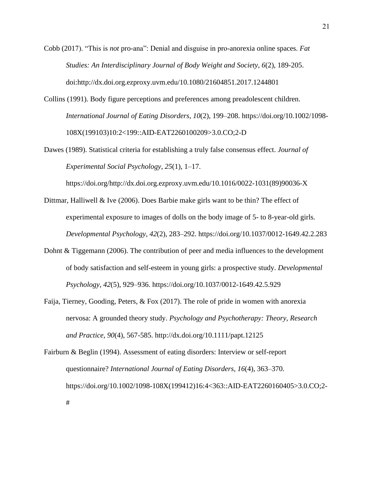Cobb (2017). "This is *not* pro-ana": Denial and disguise in pro-anorexia online spaces. *Fat Studies: An Interdisciplinary Journal of Body Weight and Society, 6*(2), 189-205. doi:http://dx.doi.org.ezproxy.uvm.edu/10.1080/21604851.2017.1244801

Collins (1991). Body figure perceptions and preferences among preadolescent children. *International Journal of Eating Disorders*, *10*(2), 199–208. https://doi.org/10.1002/1098- 108X(199103)10:2<199::AID-EAT2260100209>3.0.CO;2-D

Dawes (1989). Statistical criteria for establishing a truly false consensus effect. *Journal of Experimental Social Psychology*, *25*(1), 1–17.

https://doi.org/http://dx.doi.org.ezproxy.uvm.edu/10.1016/0022-1031(89)90036-X

- Dittmar, Halliwell & Ive (2006). Does Barbie make girls want to be thin? The effect of experimental exposure to images of dolls on the body image of 5- to 8-year-old girls. *Developmental Psychology*, *42*(2), 283–292. https://doi.org/10.1037/0012-1649.42.2.283
- Dohnt & Tiggemann (2006). The contribution of peer and media influences to the development of body satisfaction and self-esteem in young girls: a prospective study. *Developmental Psychology*, *42*(5), 929–936. https://doi.org/10.1037/0012-1649.42.5.929
- Faija, Tierney, Gooding, Peters, & Fox (2017). The role of pride in women with anorexia nervosa: A grounded theory study. *Psychology and Psychotherapy: Theory, Research and Practice*, *90*(4), 567-585. <http://dx.doi.org/10.1111/papt.12125>

Fairburn & Beglin (1994). Assessment of eating disorders: Interview or self-report questionnaire? *International Journal of Eating Disorders*, *16*(4), 363–370. https://doi.org/10.1002/1098-108X(199412)16:4<363::AID-EAT2260160405>3.0.CO;2- #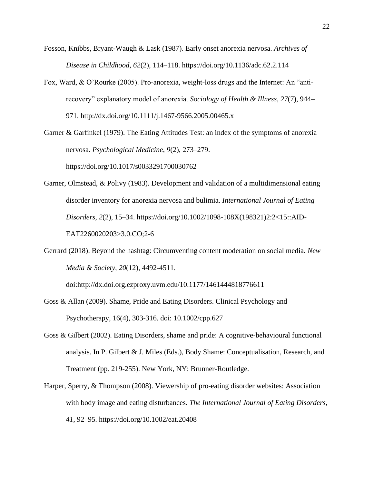- Fosson, Knibbs, Bryant-Waugh & Lask (1987). Early onset anorexia nervosa. *Archives of Disease in Childhood*, *62*(2), 114–118. https://doi.org/10.1136/adc.62.2.114
- Fox, Ward, & O'Rourke (2005). Pro-anorexia, weight-loss drugs and the Internet: An "antirecovery" explanatory model of anorexia. *Sociology of Health & Illness*, *27*(7), 944– 971. <http://dx.doi.org/10.1111/j.1467-9566.2005.00465.x>

Garner & Garfinkel (1979). The Eating Attitudes Test: an index of the symptoms of anorexia nervosa. *Psychological Medicine*, *9*(2), 273–279.

<https://doi.org/10.1017/s0033291700030762>

- Garner, Olmstead, & Polivy (1983). Development and validation of a multidimensional eating disorder inventory for anorexia nervosa and bulimia. *International Journal of Eating Disorders*, *2*(2), 15–34. https://doi.org/10.1002/1098-108X(198321)2:2<15::AID-EAT2260020203>3.0.CO;2-6
- Gerrard (2018). Beyond the hashtag: Circumventing content moderation on social media. *New Media & Society, 20*(12), 4492-4511.

doi:http://dx.doi.org.ezproxy.uvm.edu/10.1177/1461444818776611

- Goss & Allan (2009). Shame, Pride and Eating Disorders. Clinical Psychology and Psychotherapy, 16(4), 303-316. doi: 10.1002/cpp.627
- Goss & Gilbert (2002). Eating Disorders, shame and pride: A cognitive-behavioural functional analysis. In P. Gilbert & J. Miles (Eds.), Body Shame: Conceptualisation, Research, and Treatment (pp. 219-255). New York, NY: Brunner-Routledge.
- Harper, Sperry, & Thompson (2008). Viewership of pro-eating disorder websites: Association with body image and eating disturbances. *The International Journal of Eating Disorders*, *41*, 92–95. https://doi.org/10.1002/eat.20408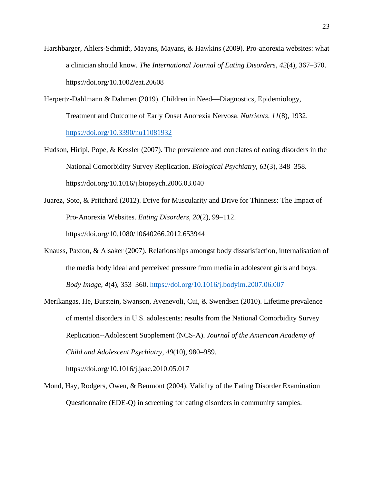- Harshbarger, Ahlers-Schmidt, Mayans, Mayans, & Hawkins (2009). Pro-anorexia websites: what a clinician should know. *The International Journal of Eating Disorders*, *42*(4), 367–370. https://doi.org/10.1002/eat.20608
- Herpertz-Dahlmann & Dahmen (2019). Children in Need—Diagnostics, Epidemiology, Treatment and Outcome of Early Onset Anorexia Nervosa. *Nutrients*, *11*(8), 1932. <https://doi.org/10.3390/nu11081932>
- Hudson, Hiripi, Pope, & Kessler (2007). The prevalence and correlates of eating disorders in the National Comorbidity Survey Replication. *Biological Psychiatry*, *61*(3), 348–358. https://doi.org/10.1016/j.biopsych.2006.03.040
- Juarez, Soto, & Pritchard (2012). Drive for Muscularity and Drive for Thinness: The Impact of Pro-Anorexia Websites. *Eating Disorders*, *20*(2), 99–112. <https://doi.org/10.1080/10640266.2012.653944>
- Knauss, Paxton, & Alsaker (2007). Relationships amongst body dissatisfaction, internalisation of the media body ideal and perceived pressure from media in adolescent girls and boys. *Body Image*, *4*(4), 353–360.<https://doi.org/10.1016/j.bodyim.2007.06.007>
- Merikangas, He, Burstein, Swanson, Avenevoli, Cui, & Swendsen (2010). Lifetime prevalence of mental disorders in U.S. adolescents: results from the National Comorbidity Survey Replication--Adolescent Supplement (NCS-A). *Journal of the American Academy of Child and Adolescent Psychiatry*, *49*(10), 980–989. https://doi.org/10.1016/j.jaac.2010.05.017
- Mond, Hay, Rodgers, Owen, & Beumont (2004). Validity of the Eating Disorder Examination Questionnaire (EDE-Q) in screening for eating disorders in community samples.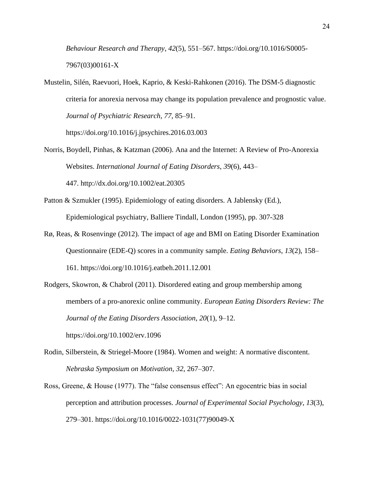*Behaviour Research and Therapy*, *42*(5), 551–567. [https://doi.org/10.1016/S0005-](https://doi.org/10.1016/S0005-7967(03)00161-X) [7967\(03\)00161-X](https://doi.org/10.1016/S0005-7967(03)00161-X)

Mustelin, Silén, Raevuori, Hoek, Kaprio, & Keski-Rahkonen (2016). The DSM-5 diagnostic criteria for anorexia nervosa may change its population prevalence and prognostic value. *Journal of Psychiatric Research*, *77*, 85–91.

https://doi.org/10.1016/j.jpsychires.2016.03.003

- Norris, Boydell, Pinhas, & Katzman (2006). Ana and the Internet: A Review of Pro-Anorexia Websites. *International Journal of Eating Disorders*, *39*(6), 443– 447. <http://dx.doi.org/10.1002/eat.20305>
- Patton & Szmukler (1995). Epidemiology of eating disorders. A Jablensky (Ed.), Epidemiological psychiatry, Balliere Tindall, London (1995), pp. 307-328
- Rø, Reas, & Rosenvinge (2012). The impact of age and BMI on Eating Disorder Examination Questionnaire (EDE-Q) scores in a community sample. *Eating Behaviors*, *13*(2), 158– 161.<https://doi.org/10.1016/j.eatbeh.2011.12.001>
- Rodgers, Skowron, & Chabrol (2011). Disordered eating and group membership among members of a pro-anorexic online community. *European Eating Disorders Review: The Journal of the Eating Disorders Association*, *20*(1), 9–12. https://doi.org/10.1002/erv.1096
- Rodin, Silberstein, & Striegel-Moore (1984). Women and weight: A normative discontent. *Nebraska Symposium on Motivation*, *32*, 267–307.
- Ross, Greene, & House (1977). The "false consensus effect": An egocentric bias in social perception and attribution processes. *Journal of Experimental Social Psychology*, *13*(3), 279–301. https://doi.org/10.1016/0022-1031(77)90049-X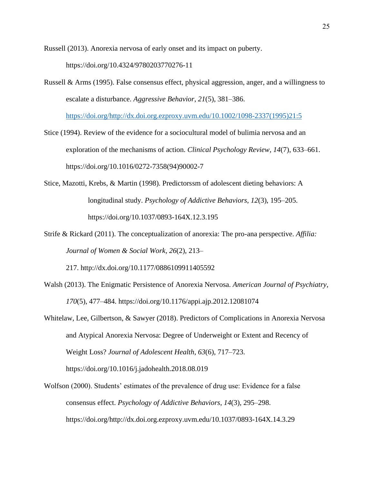Russell (2013). Anorexia nervosa of early onset and its impact on puberty.

<https://doi.org/10.4324/9780203770276-11>

Russell & Arms (1995). False consensus effect, physical aggression, anger, and a willingness to escalate a disturbance. *Aggressive Behavior*, *21*(5), 381–386.

[https://doi.org/http://dx.doi.org.ezproxy.uvm.edu/10.1002/1098-2337\(1995\)21:5](https://doi.org/http:/dx.doi.org.ezproxy.uvm.edu/10.1002/1098-2337(1995)21:5)

- Stice (1994). Review of the evidence for a sociocultural model of bulimia nervosa and an exploration of the mechanisms of action. *Clinical Psychology Review*, *14*(7), 633–661. https://doi.org/10.1016/0272-7358(94)90002-7
- Stice, Mazotti, Krebs, & Martin (1998). Predictorssm of adolescent dieting behaviors: A longitudinal study. *Psychology of Addictive Behaviors*, *12*(3), 195–205. <https://doi.org/10.1037/0893-164X.12.3.195>
- Strife & Rickard (2011). The conceptualization of anorexia: The pro-ana perspective. *Affilia: Journal of Women & Social Work*, *26*(2), 213–

217. <http://dx.doi.org/10.1177/0886109911405592>

- Walsh (2013). The Enigmatic Persistence of Anorexia Nervosa. *American Journal of Psychiatry*, *170*(5), 477–484.<https://doi.org/10.1176/appi.ajp.2012.12081074>
- Whitelaw, Lee, Gilbertson, & Sawyer (2018). Predictors of Complications in Anorexia Nervosa and Atypical Anorexia Nervosa: Degree of Underweight or Extent and Recency of Weight Loss? *Journal of Adolescent Health*, *63*(6), 717–723. https://doi.org/10.1016/j.jadohealth.2018.08.019
- Wolfson (2000). Students' estimates of the prevalence of drug use: Evidence for a false consensus effect. *Psychology of Addictive Behaviors*, *14*(3), 295–298. https://doi.org/http://dx.doi.org.ezproxy.uvm.edu/10.1037/0893-164X.14.3.29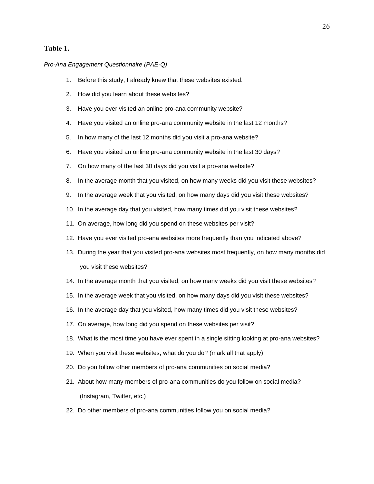## **Table 1.**

#### *Pro-Ana Engagement Questionnaire (PAE-Q)*

- 1. Before this study, I already knew that these websites existed.
- 2. How did you learn about these websites?
- 3. Have you ever visited an online pro-ana community website?
- 4. Have you visited an online pro-ana community website in the last 12 months?
- 5. In how many of the last 12 months did you visit a pro-ana website?
- 6. Have you visited an online pro-ana community website in the last 30 days?
- 7. On how many of the last 30 days did you visit a pro-ana website?
- 8. In the average month that you visited, on how many weeks did you visit these websites?
- 9. In the average week that you visited, on how many days did you visit these websites?
- 10. In the average day that you visited, how many times did you visit these websites?
- 11. On average, how long did you spend on these websites per visit?
- 12. Have you ever visited pro-ana websites more frequently than you indicated above?
- 13. During the year that you visited pro-ana websites most frequently, on how many months did you visit these websites?
- 14. In the average month that you visited, on how many weeks did you visit these websites?
- 15. In the average week that you visited, on how many days did you visit these websites?
- 16. In the average day that you visited, how many times did you visit these websites?
- 17. On average, how long did you spend on these websites per visit?
- 18. What is the most time you have ever spent in a single sitting looking at pro-ana websites?
- 19. When you visit these websites, what do you do? (mark all that apply)
- 20. Do you follow other members of pro-ana communities on social media?
- 21. About how many members of pro-ana communities do you follow on social media? (Instagram, Twitter, etc.)
- 22. Do other members of pro-ana communities follow you on social media?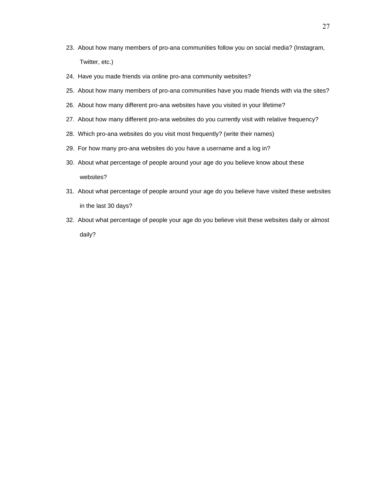- 23. About how many members of pro-ana communities follow you on social media? (Instagram, Twitter, etc.)
- 24. Have you made friends via online pro-ana community websites?
- 25. About how many members of pro-ana communities have you made friends with via the sites?
- 26. About how many different pro-ana websites have you visited in your lifetime?
- 27. About how many different pro-ana websites do you currently visit with relative frequency?
- 28. Which pro-ana websites do you visit most frequently? (write their names)
- 29. For how many pro-ana websites do you have a username and a log in?
- 30. About what percentage of people around your age do you believe know about these websites?
- 31. About what percentage of people around your age do you believe have visited these websites in the last 30 days?
- 32. About what percentage of people your age do you believe visit these websites daily or almost daily?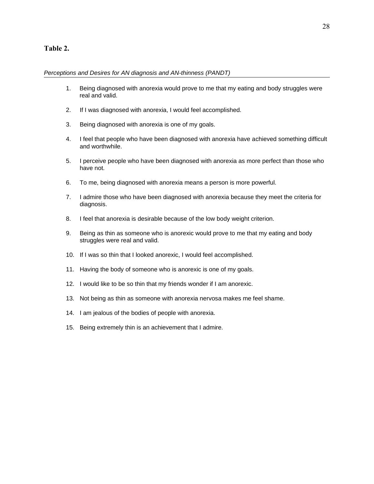## **Table 2.**

#### *Perceptions and Desires for AN diagnosis and AN-thinness (PANDT)*

- 1. Being diagnosed with anorexia would prove to me that my eating and body struggles were real and valid.
- 2. If I was diagnosed with anorexia, I would feel accomplished.
- 3. Being diagnosed with anorexia is one of my goals.
- 4. I feel that people who have been diagnosed with anorexia have achieved something difficult and worthwhile.
- 5. I perceive people who have been diagnosed with anorexia as more perfect than those who have not.
- 6. To me, being diagnosed with anorexia means a person is more powerful.
- 7. I admire those who have been diagnosed with anorexia because they meet the criteria for diagnosis.
- 8. I feel that anorexia is desirable because of the low body weight criterion.
- 9. Being as thin as someone who is anorexic would prove to me that my eating and body struggles were real and valid.
- 10. If I was so thin that I looked anorexic, I would feel accomplished.
- 11. Having the body of someone who is anorexic is one of my goals.
- 12. I would like to be so thin that my friends wonder if I am anorexic.
- 13. Not being as thin as someone with anorexia nervosa makes me feel shame.
- 14. I am jealous of the bodies of people with anorexia.
- 15. Being extremely thin is an achievement that I admire.